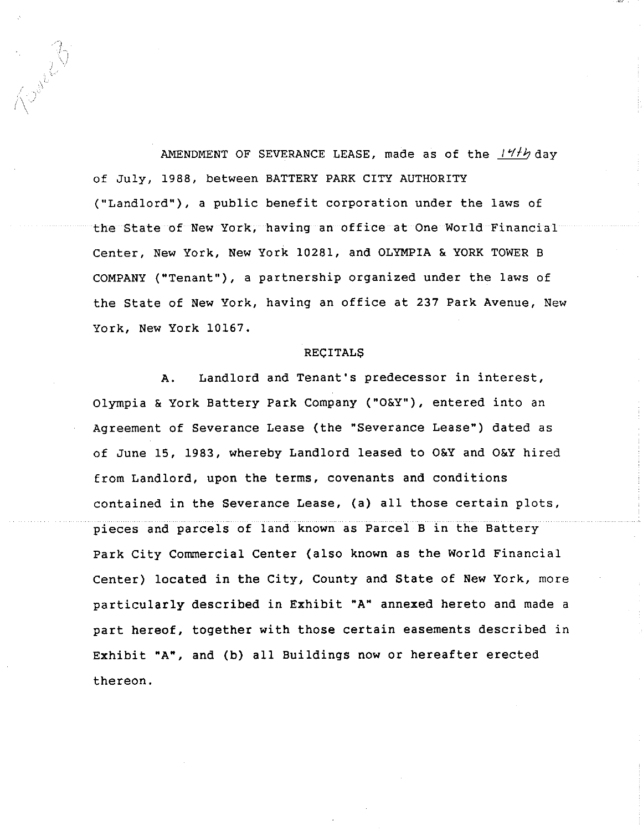AMENDMENT OF SEVERANCE LEASE, made as of the  $144$  day **of July, 1988, between BATTERY PARK CITY AUTHORITY ("Landlord"), a public benefit corporation under the laws of the State of New York, having an office at One World Financial Center, New York, New York 10281, and OLYMPIA & YORK TOWER B COMPANY ("Tenant"), a partnership organized under the laws of the State of New York, having an office at 237 Park Avenue, New York, New York 10167.**

Level 2

#### **RECITALS**

A. Landlord and Tenant's predecessor in interest, Olympia & York Battery Park Company ("O&Y"), entered into an Agreement of Severance Lease (the "Severance Lease") dated as of June 15, 1983, whereby Landlord leased to O&Y and O&Y hired from Landlord, upon the terms, covenants and conditions contained in the Severance Lease, (a) all those certain plots, pieces and parcels of land known as Parcel B in the Battery Park City Commercial Center (also known as the World Financial Center) located in the City, County and State of New York, more particularly described in Exhibit "A" annexed hereto and made a part hereof, together with those certain easements described in Exhibit "A", and (b) all Buildings now or hereafter erected thereon.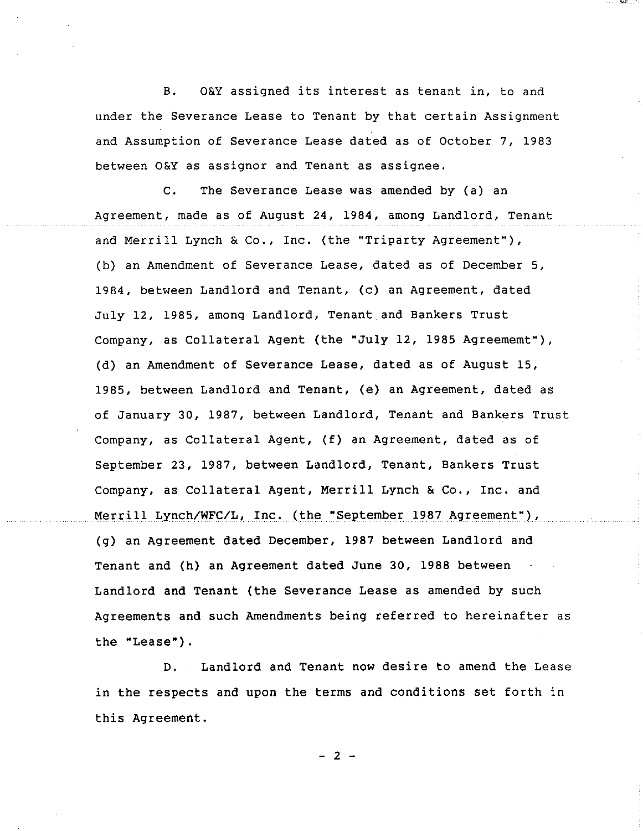B. O&Y assigned its interest as tenant in, to and under the Severance Lease to Tenant by that certain Assignment and Assumption of Severance Lease dated as of October 7, 1983 between O&Y as assignor and Tenant as assignee.

C. The Severance Lease was amended by (a) an Agreement, made as of August 24, 1984, among Landlord, Tenant and Merrill Lynch & Co., Inc. (the "Triparty Agreement"), (b) an Amendment of Severance Lease, dated as of December 5, 1984, between Landlord and Tenant, (c) an Agreement, dated July 12, 1985, among Landlord, Tenant and Bankers Trust Company, as Collateral Agent (the "July 12, 1985 Agreememt"), (d) an Amendment of Severance Lease, dated as of August 15, 1985, between Landlord and Tenant, (e) an Agreement, dated as of January 30, 1987, between Landlord, Tenant and Bankers Trust Company, as Collateral Agent, (f) an Agreement, dated as of September 23, 1987, between Landlord, Tenant, Bankers Trust Company, as Collateral Agent, Merrill Lynch & Co., Inc. and Merrill Lynch/WFC/L, Inc. (the "September 1987 Agreement"), (g) an Agreement dated December, 1987 between Landlord and Tenant and (h) an Agreement dated June 30, 1988 between Landlord and Tenant (the Severance Lease as amended by such Agreements and such Amendments being referred to hereinafter as the "Lease").

D. Landlord and Tenant now desire to amend the Lease in the respects and upon the terms and conditions set forth in this Agreement.

**- 2 -**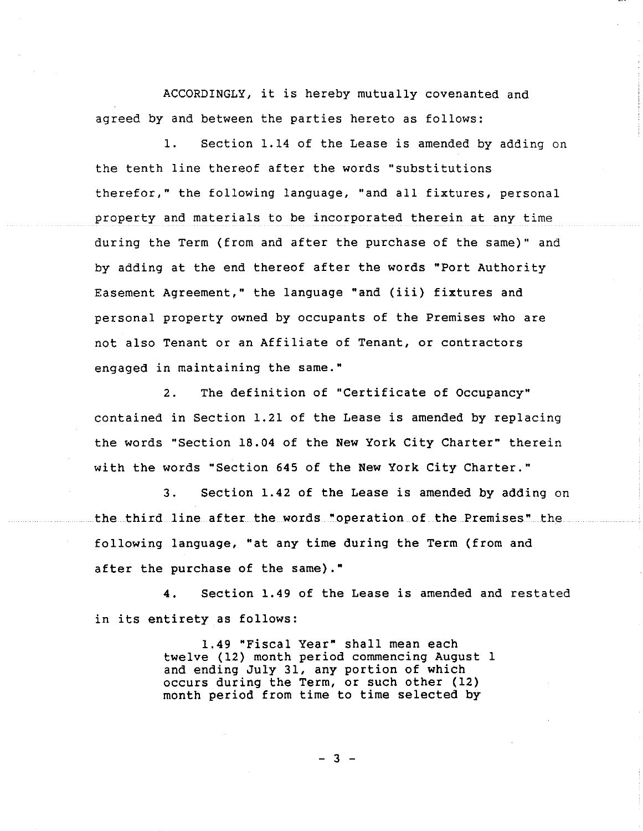ACCORDINGLY, it is hereby mutually covenanted and agreed by and between the parties hereto as follows:

i. Section 1.14 of the Lease is amended by adding on the tenth line thereof after the words "substitutions therefor," the following language, "and all fixtures, personal property and materials to be incorporated therein at any time during the Term (from and after the purchase of the same)" and by adding at the end thereof after the words "Port Authority Easement Agreement," the language "and (iii) fixtures and personal property owned by occupants of the Premises who are not also Tenant or an Affiliate of Tenant, or contractors engaged in maintaining the same."

2. The definition of "Certificate of Occupancy" contained in Section 1.21 of the Lease is amended by replacing the words "Section 18.04 of the New York City Charter" therein with the words "Section 645 of the New York City Charter."

3. Section 1.42 of the Lease is amended by adding on the third line after the words "operation of the Premises" the following language, "at any time during the Term (from and after the purchase of the same)."

4. Section 1.49 of the Lease is amended and restated in its entirety as follows:

> 1.49 "Fiscal Year" shall mean each twelve (12) month period commencing August 1 and ending July 31, any portion of which occurs during the Term, or such other (12) month period from time to time selected by

> > $-3 -$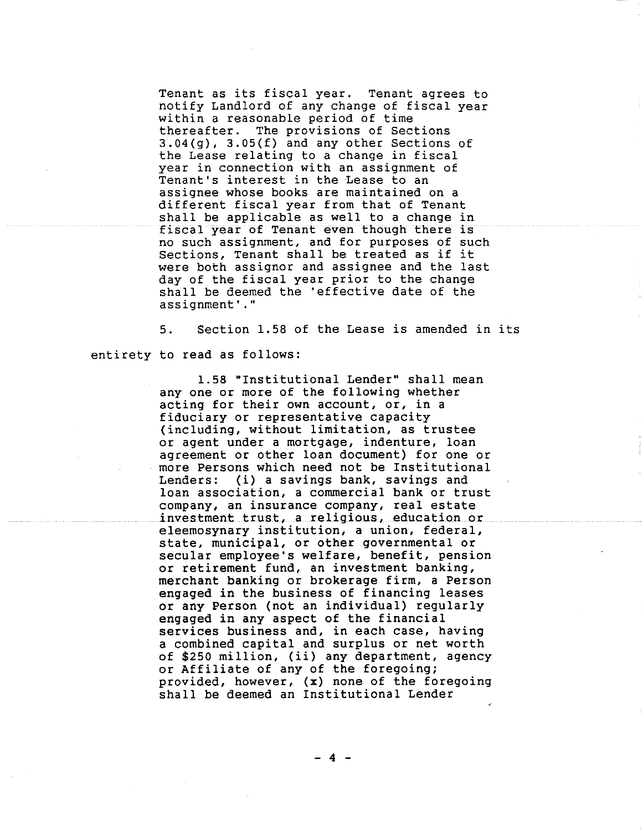Tenant as its fiscal year. Tenant agrees to notify Landlord of any change of fiscal year within a reasonable period of time thereafter. The provisions of Sections 3.04(g), 3.05(f) and any other Sections of the Lease relating to a change in fiscal year in connection with an assignment of Tenant's interest in the Lease to an assignee whose books are maintained on a different fiscal year from that of Tenant shall be applicable as well to a change in fisca! year of Tenant even though there is no such assignment, and for purposes of such Sections, Tenant shall be treated as if it were both assignor and assignee and the last day of the fiscal year prior to the change shall be deemed the 'effective date of the assignment'."

5. Section 1.58 of the Lease is amended in its entirety to read as follows:

> 1.58 "Institutional Lender" shall mean any one or more of the following whether acting for their own account, or, in a fiduciary or representative capacity (including, without limitation, as trustee or agent under a mortgage, indenture, loan agreement or other loan document) for one or more Persons which need not be Institutional Lenders: (i) a savings bank, savings and loan association, a commercial bank or trust company, an insurance company, real estate investment trust, a religious, education or eleemosynary institution, a union, federal, state, municipal, or other governmental or secular employee's welfare, benefit, pension or retirement fund, an investment banking, merchant banking or brokerage firm, a Person engaged in the business of financing leases or any Person (not an individual) regularly engaged in any aspect of the financial services business and, in each case, having a combined capital and surplus or net worth of \$250 million, (ii) any department, agency or Affiliate of any of the foregoing; provided, however, (x) none of the foregoing shall be deemed an Institutional Lender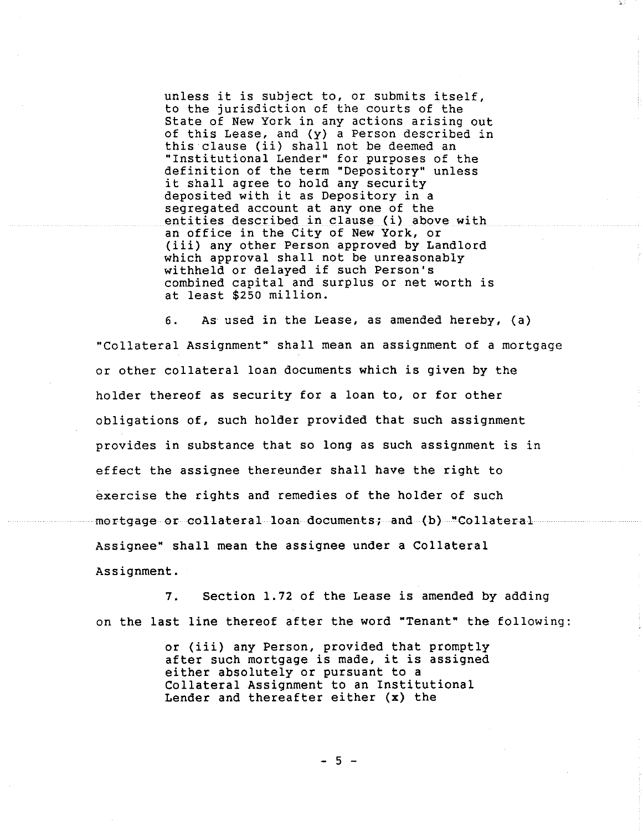unless it is subject to, or submits itself, to the jurisdiction of the courts of the State of New York in any actions arising out of this Lease, and (y) a Person described in this clause (ii) shall not be deemed an "Institutional Lender" for purposes of the definition of the term "Depository" unless it shall agree to hold any security deposited with it as Depository in a segregated account at any one of the entities described in clause (i) above with an office in the City of New York, or (iii) any other Person approved by Landlord which approval shall not be unreasonably withheld or delayed if such Person's combined capital and surplus or net worth is at least \$250 million.

6. As used in the Lease, as amended hereby, (a) "Collateral Assignment" shall mean an assignment of a mortgage or other collateral loan documents which is given by the holder thereof as security for a loan to, or for other obligations of, such holder provided that such assignment provides in substance that so long as such assignment is in effect the assignee thereunder shall have the right to exercise the rights and remedies of the holder of such mortgage or collateral loan documents; and (b) "Collateral Assignee" shall mean the assignee under a Collateral Assignment.

7. Section 1.72 of the Lease is amended by adding on the last line thereof after the word "Tenant" the following:

> or (iii) any Person, provided that promptly after such mortgage is made, it is assigned either absolutely or pursuant to a Collateral Assignment to an Institutional Lender and thereafter either (x) the

> > $-5 -$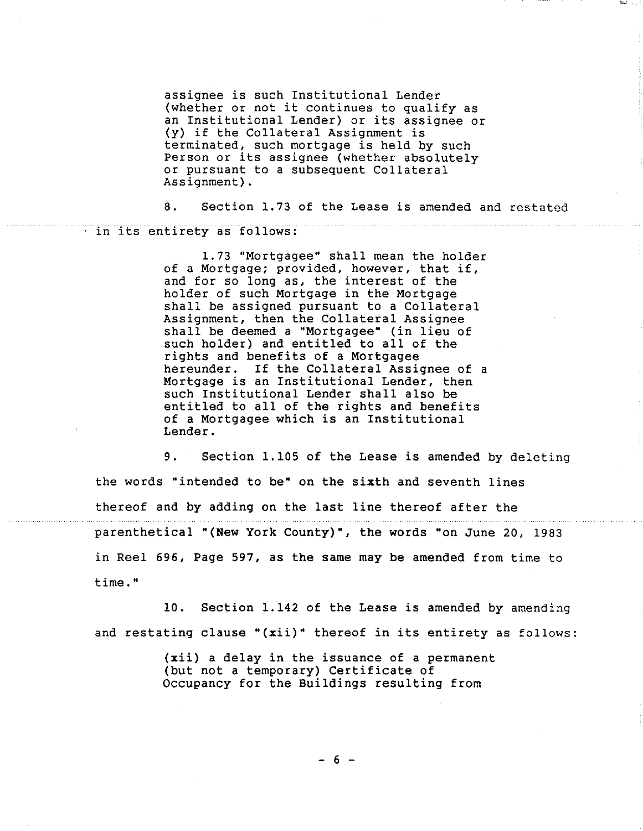assignee is such Institutional Lender (whether or not it continues to qualify as an Institutional Lender) or its assignee or (y) if the Collateral Assignment is terminated, such mortgage is held by such Person or its assignee (whether absolutely or pursuant to a subsequent Collateral Assignment).

8. Section 1.73 of the Lease is amended and restated in its entirety as follows:

> 1.73 "Mortgagee" shall mean the holder of a Mortgage; provided, however, that if, and for so long as, the interest of the holder of such Mortgage in the Mortgage shall be assigned pursuant to a Collateral Assignment, then the Collateral Assignee shall be deemed a "Mortgagee" (in lieu of such holder) and entitled to all of the rights and benefits of a Mortgagee hereunder. If the Collateral Assignee of a Mortgage is an Institutional Lender, then such Institutional Lender shall also be entitled to all of the rights and benefits of a Mortgagee which is an Institutional Lender.

9. Section 1.105 of the Lease is amended by deleting the words "intended to be" on the sixth and seventh lines thereof and by adding on the last line thereof after the parenthetical "(New York County)", the words "on June 20, 1983 in Reel 696, Page 597, as the same may be amended from time to time."

10. Section 1.142 of the Lease is amended by amending and restating clause "(xii)" thereof in its entirety as follows:

> (xii) a delay in the issuance of a permanent (but not a temporary) Certificate of Occupancy for the Buildings resulting from

> > **- 6 -**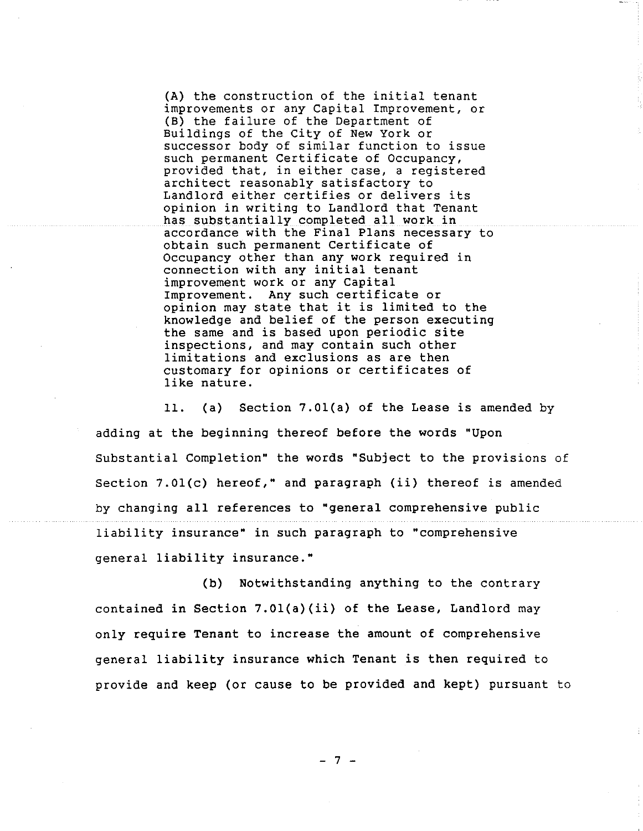(A) the construction of the initial tenant improvements or any Capital Improvement, or (B) the failure of the Department of Buildings of the City of New York or successor body of similar function to issue such permanent Certificate of Occupancy, provided that, in either case, a registered architect reasonably satisfactory to Landlord either certifies or delivers its opinion in writing to Landlord that Tenant has substantially completed all work in accordance with the Final Plans necessary to obtain such permanent Certificate of Occupancy other than any work required in connection with any initial tenant improvement work or any Capital Improvement. Any such certificate or opinion may state that it is limited to the knowledge and belief of the person executing the same and is based upon periodic site inspections, and may contain such other limitations and exclusions as are then customary for opinions or certificates of like nature.

ii. (a) Section 7.01(a) of the Lease is amended by adding at the beginning thereof before the words "Upon Substantial Completion" the words "Subject to the provisions of Section 7.01(c) hereof," and paragraph (ii) thereof is amended by changing all references to "general comprehensive public liability insurance" in such paragraph to "comprehensive general liability insurance."

(b) Notwithstanding anything to the contrary contained in Section 7.01(a)(ii) of the Lease, Landlord may only require Tenant to increase the amount of comprehensive general liability insurance which Tenant is then required to provide and keep (or cause to be provided and kept) pursuant to

**- 7 -**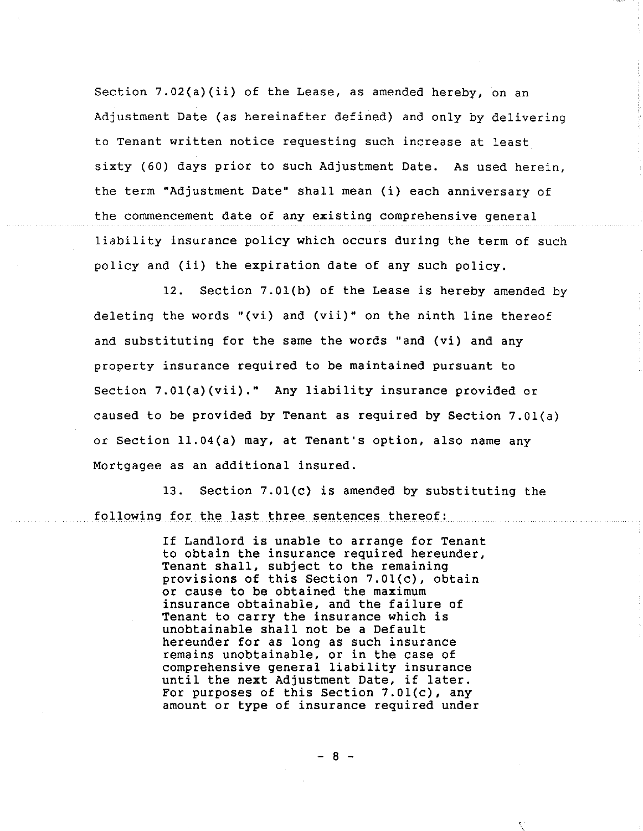Section 7.02(a)(ii) of the Lease, as amended hereby, on an Adjustment Date (as hereinafter defined) and only by delivering to Tenant written notice requesting such increase at least sixty (60) days prior to such Adjustment Date. As used herein, the term "Adjustment Date" shall mean (i) each anniversary of the commencement date of any existing comprehensive general liability insurance policy which occurs during the term of such policy and (ii) the expiration date of any such policy.

12. Section 7.01(b) of the Lease is hereby amended by deleting the words "(vi) and (vii)" on the ninth line thereof and substituting for the same the words "and (vi) and any property insurance required to be maintained pursuant to Section 7.01(a)(vii)." Any liability insurance provided or caused to be provided by Tenant as required by Section 7.01(a) or Section ll.04(a) may, at Tenant's option, also name any Mortgagee as an additional insured.

13. Section 7.01(c) is amended by substituting the following for the last three sentences thereof:

> If Landlord is unable to arrange for Tenant to obtain the insurance required hereunder, Tenant shall, subject to the remaining provisions of this Section 7.01(c), obtain or cause to be obtained the maximum insurance obtainable, and the failure of Tenant to carry the insurance which is unobtainable shall not be a Default hereunder for as long as such insurance remains unobtainable, or in the case of comprehensive general liability insurance until the next Adjustment Date, if later. For purposes of this Section 7.01(c), any amount or type of insurance required under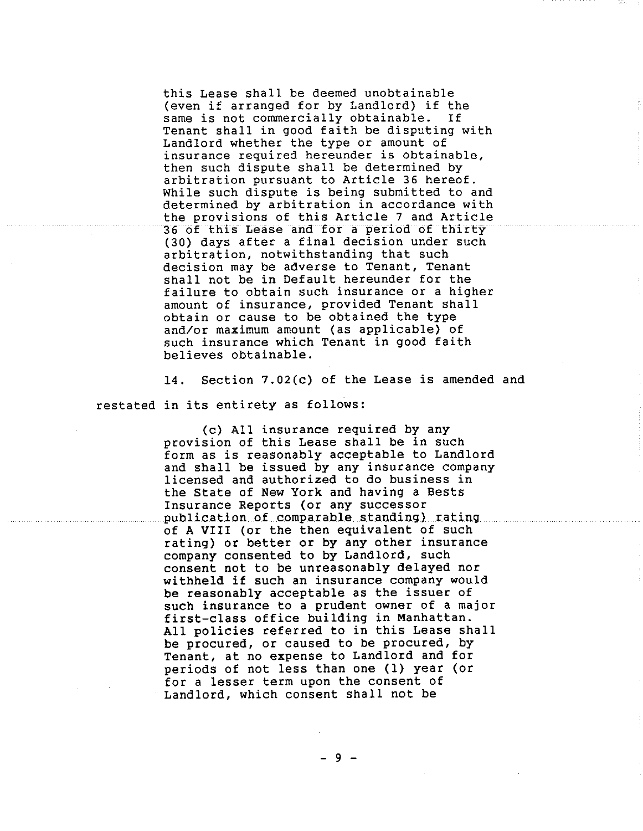this Lease shall be deemed unobtainable (even if arranged for by Landlord) if the same is not commercially obtainable. If Tenant shall in good faith be disputing with Landlord whether the type or amount of insurance required hereunder is obtainable, then such dispute shall be determined by arbitration pursuant to Article 36 hereof. While such dispute is being submitted to and determined by arbitration in accordance with the provisions of this Article 7 and Article 36 of this Lease and for a period of thirty (30) days after a final decision under such arbitration, notwithstanding that such decision may be adverse to Tenant, Tenant shall not be in Default hereunder for the failure to obtain such insurance or a higher amount of insurance, provided Tenant shall obtain or cause to be obtained the type and/or maximum amount (as applicable) of such insurance which Tenant in good faith believes obtainable.

14. Section 7.02(c) of the Lease is amended and restated in its entirety as follows:

> (c) All insurance required by any provision of this Lease shall be in such form as is reasonably acceptable to Landlord and shall be issued by any insurance company licensed and authorized to do business in the State of New York and having a Bests Insurance Reports (or any successor publication of comparable standing) rating of A VIII (or the then equivalent of such rating) or better or by any other insurance company consented to by Landlord, such consent not to be unreasonably delayed nor withheld if such an insurance company would be reasonably acceptable as the issuer of such insurance to a prudent owner of a major first-class office building in Manhattan. All policies referred to in this Lease shall be procured, or caused to be procured, by Tenant, at no expense to Landlord and for periods of not less than one (I) year (or for a lesser term upon the consent of Landlord, which consent shall not be

> > $-9 -$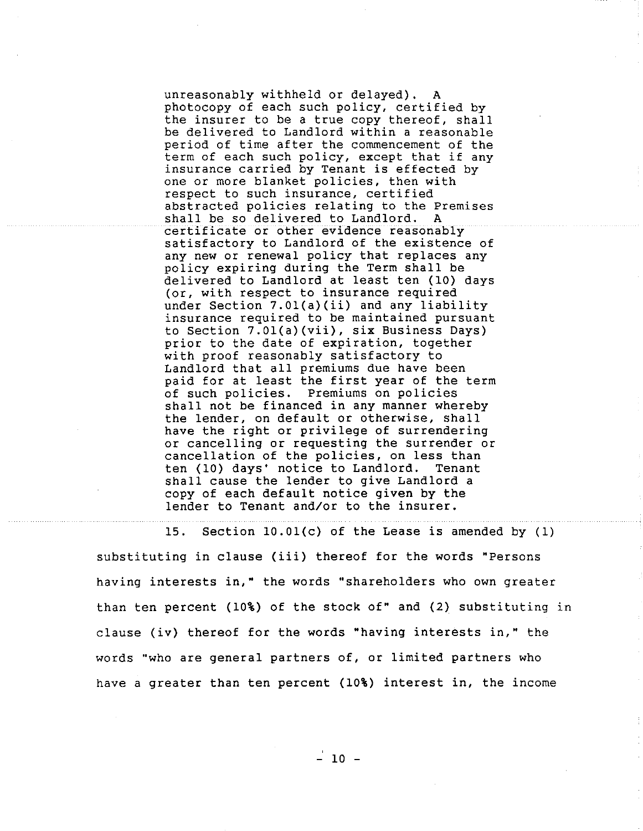unreasonably withheld or delayed). A photocopy of each such policy, certified by the insurer to be a true copy thereof, shall be delivered to Landlord within a reasonable period of time after the commencement of the term of each such policy, except that if any insurance carried by Tenant is effected by one or more blanket policies, then with respect to such insurance, certified abstracted policies relating to the Premises shall be so delivered to Landlord. A certificate or other evidence reasonably satisfactory to Landlord of the existence of any new or renewal policy that replaces any policy expiring during the Term shall be delivered to Landlord at least ten (10) days (or, with respect to insurance required under Section 7.01(a)(ii) and any liability insurance required to be maintained pursuant to Section 7.01(a)(vii), six Business Days) prior to the date of expiration, together with proof reasonably satisfactory to Landlord that all premiums due have been paid for at least the first year of the term of such policies. Premiums on policies shall not be financed in any manner whereby the lender, on default or otherwise, shall have the right or privilege of surrendering or cancelling or requesting the surrender or cancellation of the policies, on less than ten (I0) days' notice to Landlord. Tenant shall cause the lender to give Landlord a copy of each default notice given by the lender to Tenant and/or to the insurer.

15. Section 10.01(c) of the Lease is amended by (1) substituting in clause (iii) thereof for the words "Persons having interests in," the words "shareholders who own greater than ten percent (10%) of the stock of" and (2) substituting in clause (iv) thereof for the words "having interests in," the words "who are general partners of, or limited partners who have a greater than ten percent (10%) interest in, the income

 $-10 -$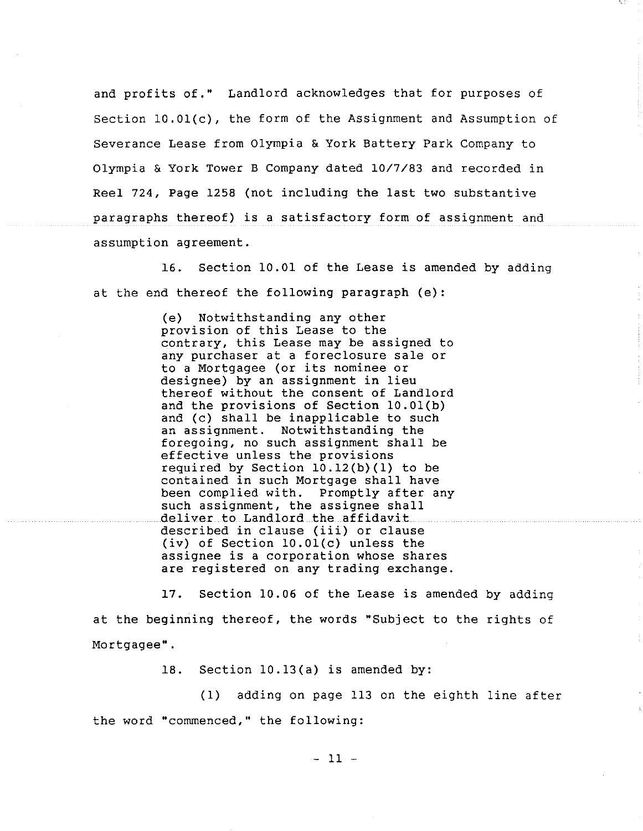and profits of." Landlord acknowledges that for purposes of Section 10.01(c), the form of the Assignment and Assumption of Severance Lease from Olympia & York Battery Park Company to Olympia & York Tower B Company dated 10/7/83 and recorded in Reel 724, Page 1258 (not including the last two substantive paragraphs thereof) is a satisfactory form of assignment and assumption agreement.

16. Section I0.01 of the Lease is amended by adding at the end thereof the following paragraph (e):

> (e) Notwithstanding any other provision of this Lease to the contrary, this Lease may be assigned to any purchaser at a foreclosure sale or to a Mortgagee (or its nominee or designee) by an assignment in lieu thereof without the consent of Landlord and the provisions of Section 10.01(b) and (c) shall be inapplicable to such an assignment. Notwithstanding the foregoing, no such assignment shall be effective unless the provisions required by Section 10.12(b)(1) to be contained in such Mortgage shall have been complied with. Promptly after any such assignment, the assignee shall deliver to Landlord the affidavit described in clause (iii) or clause (iv) of Section 10.01(c) unless the assignee is a corporation whose shares are registered on any trading exchange.

17. Section 10.06 of the Lease is amended by adding at the beginning thereof, the words "Subject to the rights of Mortgagee".

18. Section 10.13(a) is amended by:

(i) adding on page 113 on the eighth line after the word "commenced," the following:

**ii -**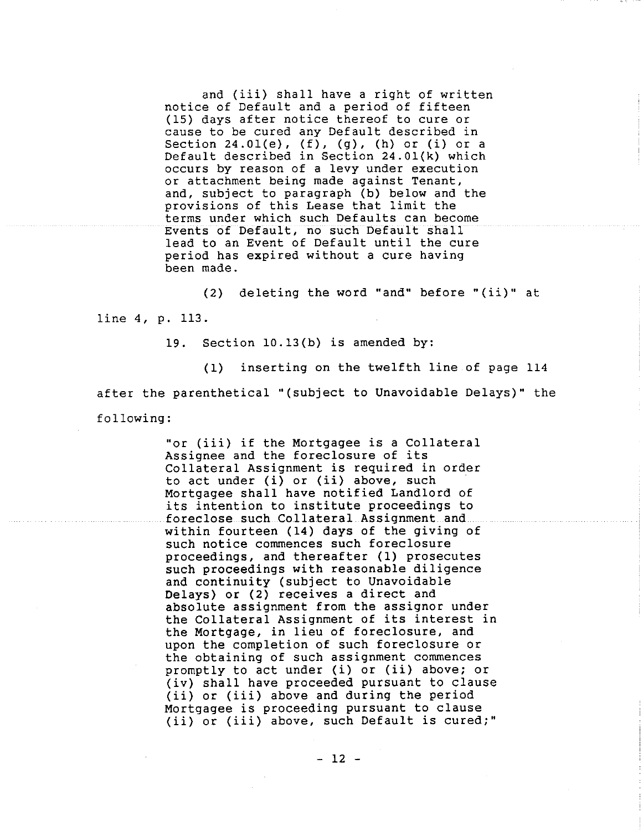and (iii) shall have a right of written notice of Default and a period of fifteen (15) days after notice thereof to cure or cause to be cured any Default described in Section 24.01(e),  $(f)$ ,  $(g)$ ,  $(h)$  or  $(i)$  or a Default described in Section 24.01(k) which occurs by reason of a levy under execution or attachment being made against Tenant, and, subject to paragraph (b) below and the provisions of this Lease that limit the terms under which such Defaults can become Events of Default, no such Default shall lead to an Event of Default until the cure period has expired without a cure having been made.

(2) deleting the word "and" before "(ii)" at line 4, p. 113.

19. Section 10.13(b) is amended by:

(i) inserting on the twelfth line of page 114 after the parenthetical "(subject to Unavoidable Delays)" the following:

> "or (iii) if the Mortgagee is a Collateral Assignee and the foreclosure of its Collateral Assignment is required in order to act under (i) or (ii) above, such Mortgagee shall have notified Landlord of its intention to institute proceedings to foreclose such Collateral Assignment and within fourteen (14) days of the giving of such notice commences such foreclosure proceedings, and thereafter (i) prosecutes such proceedings with reasonable diligence and continuity (subject to Unavoidable Delays) or (2) receives a direct and absolute assignment from the assignor under the Collateral Assignment of its interest in the Mortgage, in lieu of foreclosure, and upon the completion of such foreclosure or the obtaining of such assignment commences promptly to act under (i) or (ii) above; or (iv) shall have proceeded pursuant to clause (ii) or (iii) above and during the period Mortgagee is proceeding pursuant to clause (ii) or (iii) above, such Default is cured;"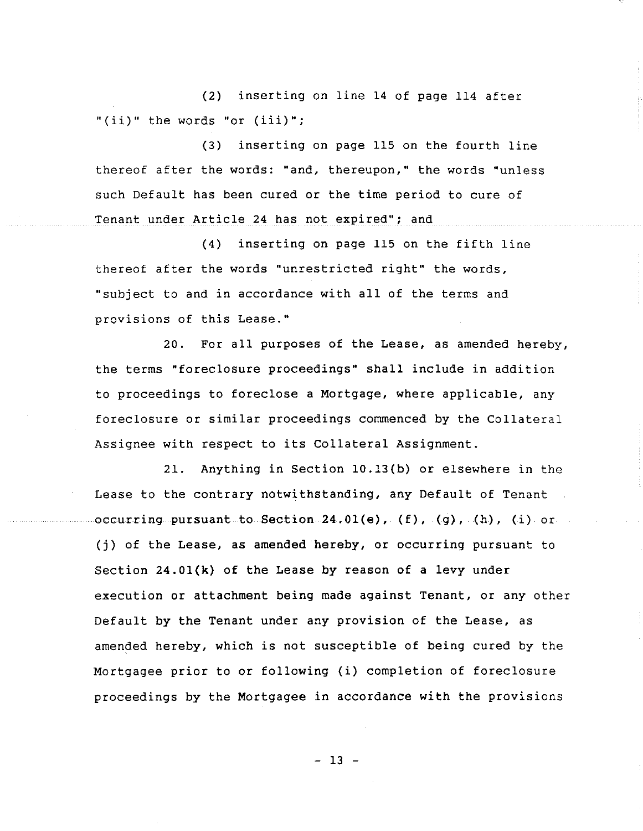(2) "(ii)" the words "or (iii)"; inserting on line 14 of page I14 after

**(3)** inserting on page 115 on the fourth line thereof after the words: "and, thereupon," the words "unless such Default has been cured or the time period to cure of Tenant under Article 24 has not expired"; and

(4) inserting on page 115 on the fifth line thereof after the words "unrestricted right" the words, "subject to and in accordance with all of the terms and provisions of this Lease."

20. For all purposes of the Lease, as amended hereby, the terms "foreclosure proceedings" shall include in addition to proceedings to foreclose a Mortgage, where applicable, any foreclosure or similar proceedings commenced by the Collateral Assignee with respect to its Collateral Assignment.

21. Anything in Section 10.13(b) or elsewhere in the Lease to the contrary notwithstanding, any Default of Tenant occurring pursuant to Section 24.01(e), (f), (g), (h), (i) or (j) of the Lease, as amended hereby, or occurring pursuant to Section 24.01(k) of the Lease by reason of a levy under execution or attachment being made against Tenant, or any other Default by the Tenant under any provision of the Lease, as amended hereby, which is not susceptible of being cured by the Mortgagee prior to or following (i) completion of foreclosure proceedings by the Mortgagee in accordance with the provisions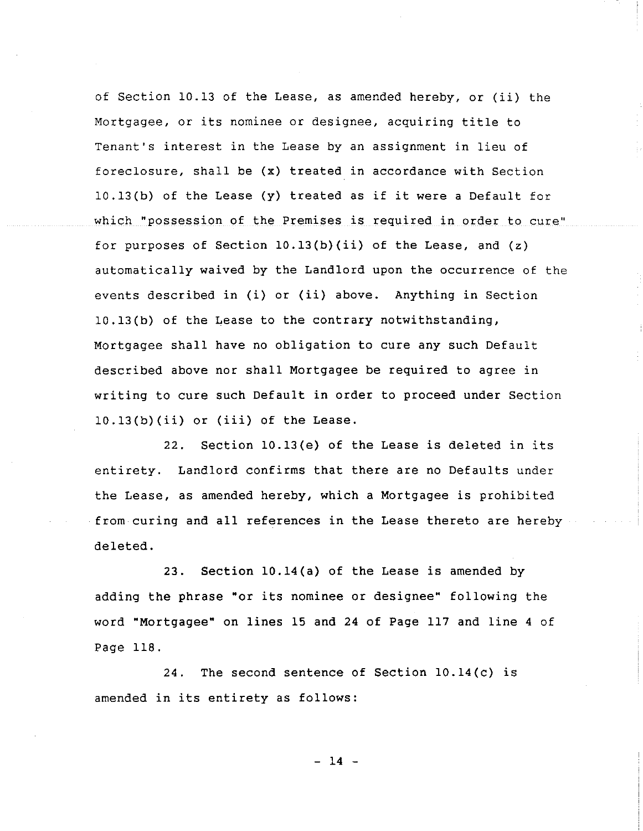of Section i0.13 of the Lease, as amended hereby, or (ii) the Mortgagee, or its nominee or designee, acquiring title to Tenant's interest in the Lease by an assignment in lieu of foreclosure, shall be (x) treated in accordance with Section 10.13(b) of the Lease (y) treated as if it were a Default for which "possession of the Premises is required in order to cure" for purposes of Section  $10.13(b)(ii)$  of the Lease, and  $(z)$ automatically waived by the Landlord upon the occurrence of the events described in (i) or (ii) above. Anything in Section 10.13(b) of the Lease to the contrary notwithstanding, Mortgagee shall have no obligation to cure any such Default described above nor shall Mortgagee be required to agree in writing to cure such Default in order to proceed under Section 10.13(b)(ii) or (iii) of the Lease.

22. Section 10.13(e) of the Lease is deleted in its entirety. Landlord confirms that there are no Defaults under the Lease, as amended hereby, which a Mortgagee is prohibited from curing and all references in the Lease thereto are hereby deleted.

23. Section 10.14(a) of the Lease is **amended by** adding the phrase "or its nominee or designee" **following the word "Mortgagee" on lines 15 and 24 of Page 117 and line 4 of Page 118.**

**24. The second sentence of** Section i0.14(c) is **amended in its entirety as follows:**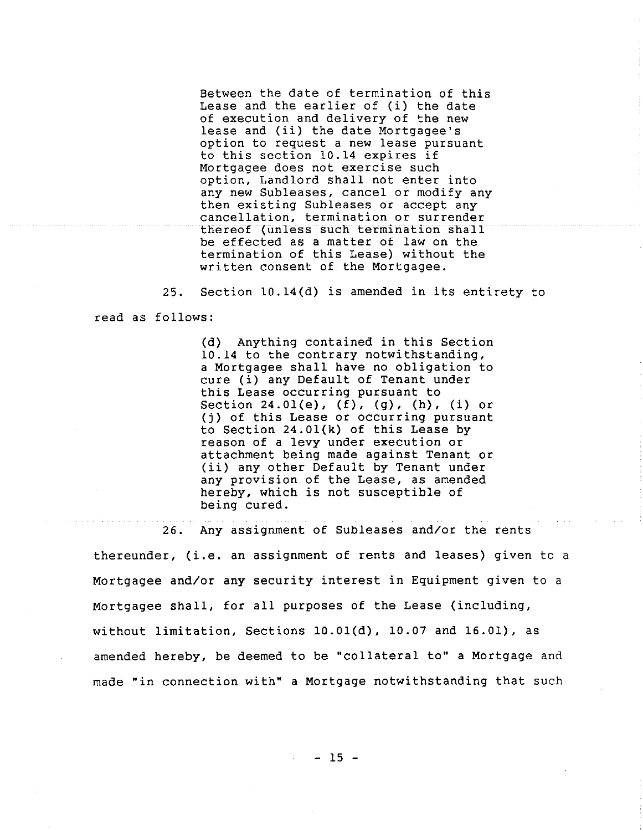Between the date of termination of this Lease and the earlier of (i) the date of execution and delivery of the new lease and (ii) the date Mortgagee's option to request a new lease pursuant to this section 10.14 expires if Mortgagee does not exercise such option, Landlord shall not enter into any new Subleases, cancel or modify any then existing Subleases or accept any cancellation, termination or surrender thereof (unless such termination shall be effected as a matter of law on the termination of this Lease) without the written consent of the Mortgagee.

25. Section 10.14(d) is amended in its entirety to read as follows:

> (d) Anything contained in this Section 10.14 to the contrary notwithstanding, a Mortgagee shall have no obligation to cure (i) any Default of Tenant under this Lease occurring pursuant to Section 24.01(e), (f), (g), (h), (i) or (i) of this Lease or occurring pursuant to Section 24.01(k) of this Lease by reason of a levy under execution or attachment being made against Tenant or (ii) any other Default by Tenant under any provision of the Lease, as amended hereby, which is not susceptible of being cured.

26. Any assignment of Subleases and/or the rents **thereunder, (i.e. an assignment of rents and leases) given to a** Mortgagee and/or any security interest in Equipment given to a Mortgagee shall, for all purposes of the Lease (including, without limitation, Sections 10.01(d), 10.07 and 16.01), as amended hereby, be deemed to be "collateral to" a Mortgage and made "in connection with" a Mortgage notwithstanding that such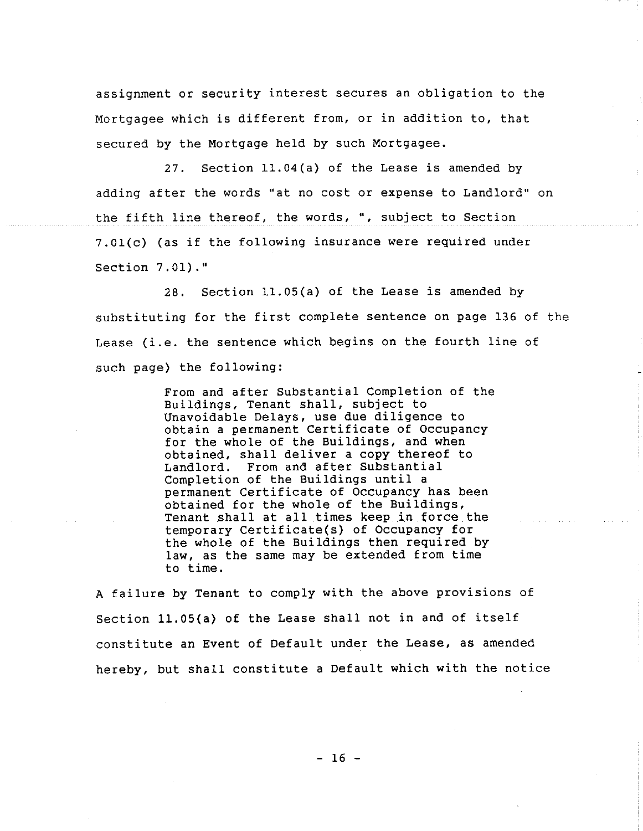assignment or security interest secures an obligation to the Mortgagee which is different from, or in addition to, that secured by the Mortgage held by such Mortgagee.

27. Section ll.04(a) of the Lease is amended by adding after the words "at no cost or expense to Landlord" on the fifth line thereof, the words, °', subject to Section 7.01(c) (as if the following insurance were required under Section 7.01)."

28. Section ll.05(a) of the Lease is amended by substituting for the first complete sentence on page 136 of the Lease (i.e. the sentence which begins on the fourth line of such page) the following:

> From and after Substantial Completion of the Buildings, Tenant shall, subject to Unavoidable Delays, use due diligence to obtain a permanent Certificate of Occupancy for the whole of the Buildings, and when obtained, shall deliver a copy thereof to Landlord. From and after Substantial Completion of the Buildings until a permanent Certificate of Occupancy has been obtained for the whole of the Buildings, Tenant shall at all times keep in force the temporary Certificate(s) of Occupancy for the whole of the Buildings then required by law, as the same may be extended from time to time.

A failure by Tenant to comply with the above provisions of Section ll.05(a) of the Lease shall not in and of itself constitute an Event of Default under the Lease, as amended hereby, but shall constitute a Default which with the notice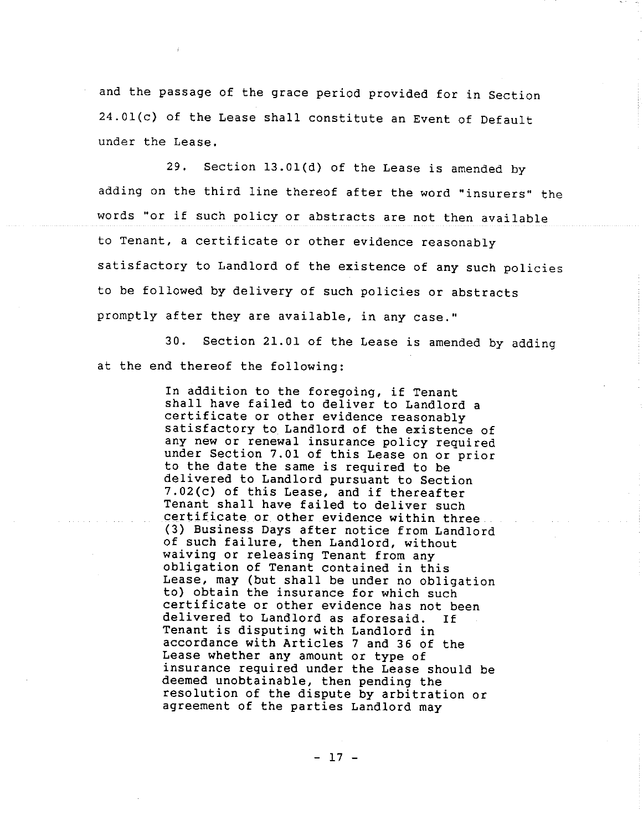and the passage of the grace period provided for in Section 24.01(c) of the Lease shall constitute an Event of Default under the Lease.

29. Section 13.01(d) of the Lease is amended by adding on the third line thereof after the word "insurers" the words "or if such policy or abstracts are not then available to Tenant, a certificate or other evidence reasonably satisfactory to Landlord of the existence of any such policies to be followed by delivery of such policies or abstracts promptly after they are available, in any case."

30. Section 21.01 of the Lease is amended by adding at the end thereof the following:

> In addition to the foregoing, if Tenant shall have failed to deliver to Landlord a certificate or other evidence reasonably satisfactory to Landlord of the existence of any new or renewal insurance policy required under Section 7.01 of this Lease on or prior to the date the same is required to be delivered to Landlord pursuant to Section 7.02(c) of this Lease, and if thereafter Tenant shall have failed to deliver such certificate or other evidence within three (3) Business Days after notice from Landlord of such failure, then Landlord, without waiving or releasing Tenant from any obligation of Tenant contained in this Lease, may (but shall be under no obligation to) obtain the insurance for which such certificate or other evidence has not been delivered to Landlord as aforesaid. If Tenant is disputing with Landlord in accordance with Articles 7 and 36 of the Lease whether any amount or type of insurance required under the Lease should be deemed unobtainable, then pending the resolution of the dispute by arbitration or agreement of the parties Landlord may

> > $-17 -$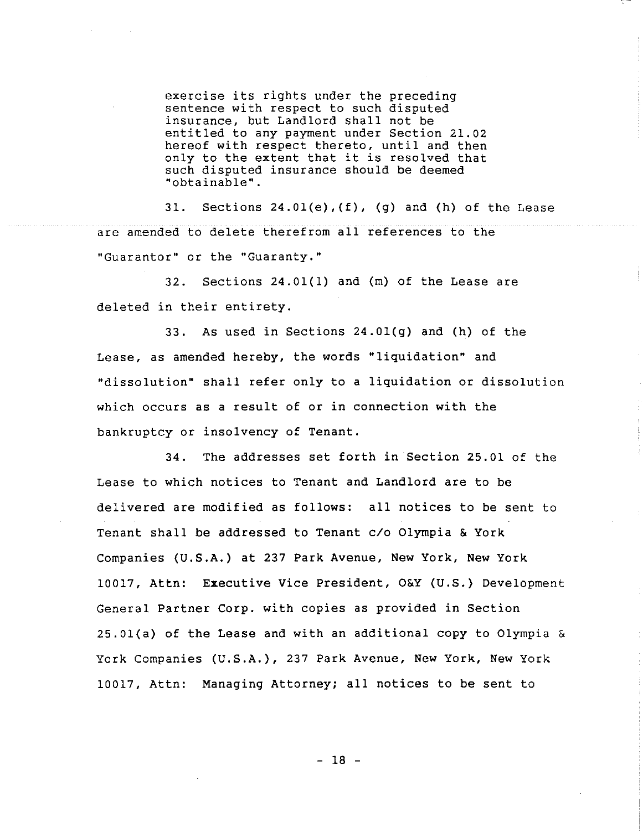exercise its rights under the preceding sentence with respect to such disputed insurance, but Landlord shall not be entitled to any payment under Section 21.02 hereof with respect thereto, until and then only to the extent that it is resolved that such disputed insurance should be deemed "obtainable".

31. Sections  $24.01(e)$ ,  $(f)$ ,  $(g)$  and  $(h)$  of the Lease are amended to delete therefrom all references to the "Guarantor" or the "Guaranty."

32. Sections 24.01(1) and (m) of the Lease are deleted in their entirety.

33. As used in Sections 24.01(g) and (h) of the Lease, as amended hereby, the words "liquidation" and "dissolution" shall refer only to a liquidation or dissolution which occurs as a result of or in connection with the bankruptcy or insolvency of Tenant.

34. The addresses set forth in Section 25.01 of the Lease to which notices to Tenant and Landlord are to be delivered are modified as follows: all notices to be sent to Tenant shall be addressed to Tenant c/o Olympia & York Companies (U.S.A.) at 237 Park Avenue, New York, New York 10017, Attn: Executive Vice President, O&Y (U.S.) Development General Partner Corp. with copies as provided in Section 25.01(a) of the Lease and with an additional copy to Olympia & York Companies (U.S.A.), 237 Park Avenue, New York, New York 10017, Attn: Managing Attorney; all notices to be sent to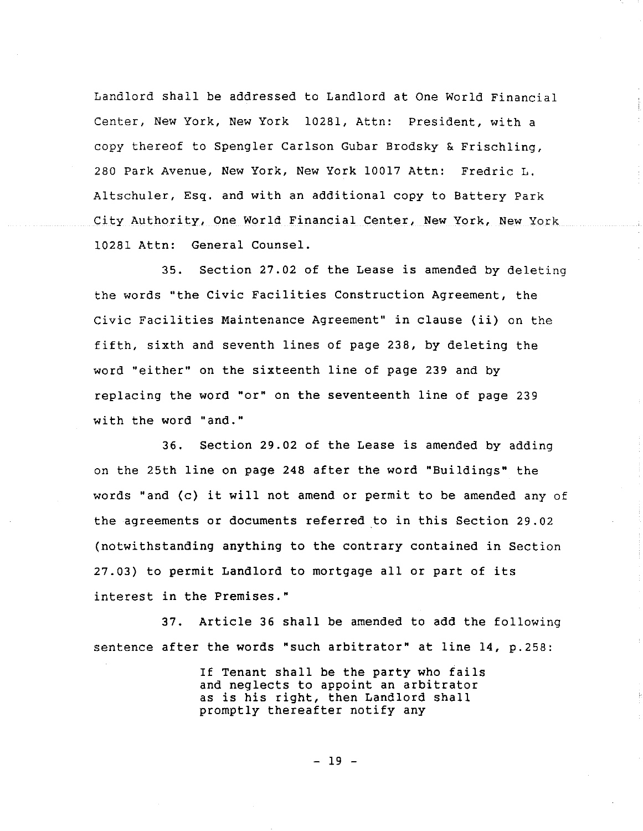Landlord shall be addressed to Landlord at One World Financial Center, New York, New York 10281, Attn: President, with a copy thereof to Spengler Carlson Gubar Brodsky & Frischling, 280 Park Avenue, New York, New York 10017 Attn: Fredric L. Altschuler, Esq. and with an additional copy to Battery Park City Authority, One World Financial Center, New York, New York 10281 Attn: General Counsel.

35. Section 27.02 of the Lease is amended by deleting the words "the Civic Facilities Construction Agreement, the Civic Facilities Maintenance Agreement" in clause (ii) on the fifth, sixth and seventh lines of page 238, by deleting the word "either" on the sixteenth line of page 239 and by replacing the word "or" on the seventeenth line of page 239 with the word "and."

36. Section 29.02 of the Lease is amended by adding on the 25th line on page 248 after the word "Buildings" the words "and (c) it will not amend or permit to be amended any of the agreements or documents referred to in this Section 29.02 (notwithstanding anything to the contrary contained in Section 27.03) to permit Landlord to mortgage all or part of its interest in the Premises."

37. Article 36 shall be amended to add the following sentence after the words "such arbitrator" at line 14, p.258:

> If Tenant shall be the party who fails and neglects to appoint an arbitrator as is his right, then Landlord shall promptly thereafter notify any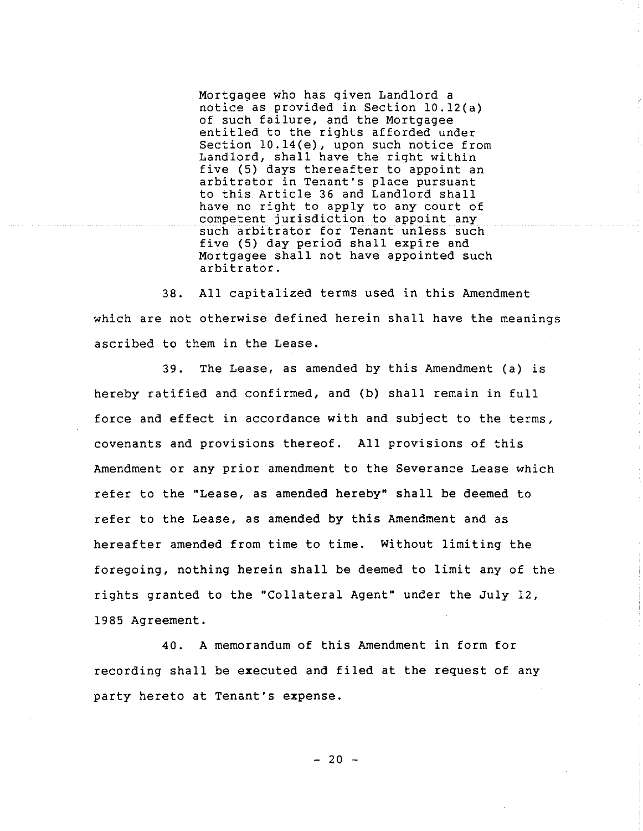Mortgagee who has given Landlord a notice as provided in Section 10.12(a) of such failure, and the Mortgagee entitled to the rights afforded under Section 10.14(e), upon such notice from Landlord, shall have the right within five (5) days thereafter to appoint an arbitrator in Tenant's place pursuant to this Article 36 and Landlord shall have no right to apply to any court of competent jurisdiction to appoint any such arbitrator for Tenant unless such five (5) day period shall expire and Mortgagee shall not have appointed such arbitrator.

38. All capitalized terms used in this Amendment which are not otherwise defined herein shall have the meanings ascribed to them in the Lease.

39. The Lease, as amended by this Amendment (a) is hereby ratified and confirmed, and (b) shall remain in full force and effect in accordance with and subject to the terms, covenants and provisions thereof. All provisions of this Amendment or any prior amendment to the Severance Lease which refer to the "Lease, as amended hereby" shall be deemed to refer to the Lease, as amended by this Amendment and as hereafter amended from time to time. Without limiting the foregoing, nothing herein shall be deemed to limit any of the rights granted to the "Collateral Agent" under the July 12, 1985 Agreement.

40. A memorandum of this Amendment in form for recording shall be executed and filed at the request of any party hereto at Tenant's expense.

 $-20 -$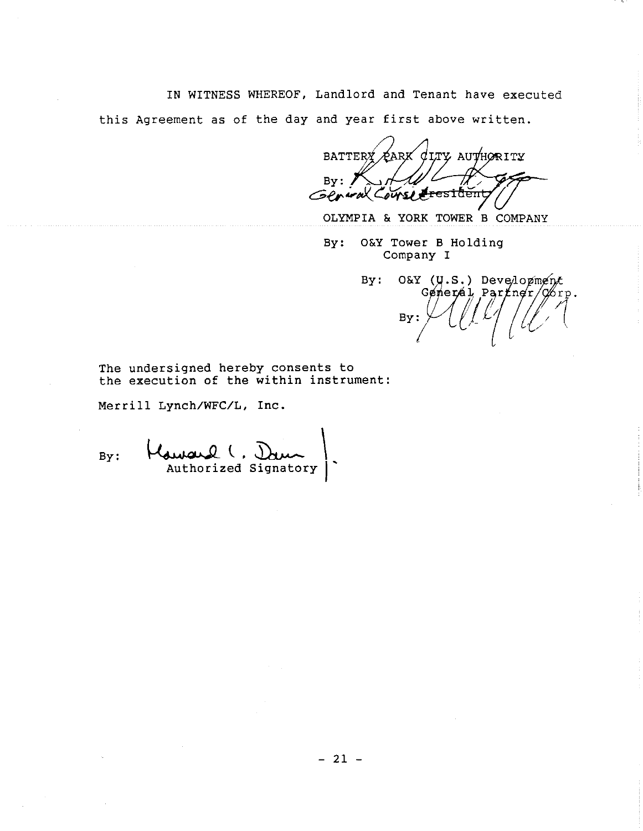IN WITNESS WHEREOF, Landlord and Tenant have executed

this Agreement as of the day and year first above written.

 $\sigma$ lty authority **BATTER** ARK By:  $\frac{H}{G}$  For  $\frac{H}{G}$ 

OLYMPIA & YORK TOWER B COMPANY

By: O&Y Tower B Holding Company I

O&Y (U.S.) Development By: Generál Partner/Corp. By

The undersigned hereby consents to the execution of the within instrument:

Merrill Lynch/WFC/L, Inc.

By: Authorized Signatory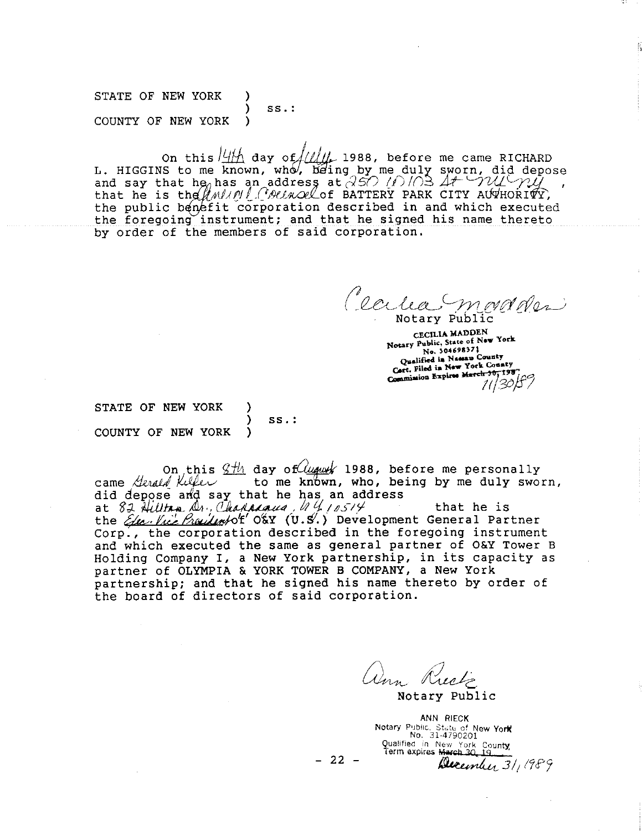STATE OF NEW YORK ) SS.: COUNTY OF NEW YORK )

On this  $/4/4$  day of  $/4/4/4$  1988, before me came RICHARD L. HIGGINS to me known, who, being by me duly sworn, did depose and say that he<sub> $\theta$ </sub> has an address at  $350$  (1)/03  $A$ +  $\neg$   $\nu$ that he is the  $\beta$  must be extracted to BATTERY PARK CITY AUTHORITY the public benefit corporation described in and which executed the foregoing instrument; and that he signed his name thereto by order of the members of Said corporation,

Cecha marson

CECILIA MADDEN CECILIA MADDEN<br>Notary Public, State of New York No. 304698371 No. 304698371<br>Qualified in Nassau County<br>Cort. Filed in New York County<br>Cort. Filed in Naviga March 30, 198 Cort. Filed in New York County<br>Commission Expires March 30, 198

STATE OF NEW YORK COUNTY OF NEW YORK )

) ss.:

On this  $2\frac{H_1}{H_2}$  day of  $\frac{H_2}{H_1}$  1988, before me personally came *Herald Killer* to me known, who, being by me duly sworn, did depose and say that he has an address at  $82$  Hillton  $\Delta_1$ , Chapacaus,  $44/10514$  that he is the Elec. Vice Prailem/of O&Y (U.S.) Development General Partner Corp., the corporation described in the foregoing instrument and which executed the same as general partner of O&Y Tower B Holding Company I, a New York partnership, in its capacity as partner of OLYMPIA & YORK TOWER B COMPANY, a New York partnership; and that he signed his name thereto by order of the board of directors of said corporation.

ann Rieck Notary Public

ANN RIECK Notary Public, State of New York Qualified in New York County, December 31, 1989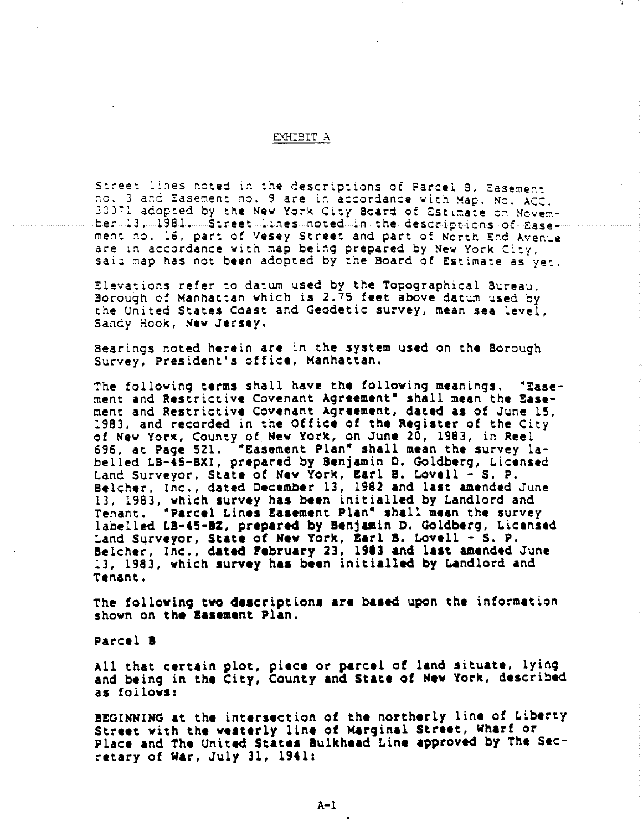## EXHIBIT A

Street lines noted in the descriptions of Parcel B, Easement<br>no. 3 and fasement no. 9 are in accordance with Map. No. ACC. 30071 adopted by the New York City Board of Estimate on Novemher 13, 1981. Street lines noted in the descriptions of Easement no. i6, part of Vesey Street and part of North Knd Avenue are in accordance with map being prepared by New York City, said map has not been adopted by the Board of Estimate as yet.

Elevations refer to datum used by the Topographical Bureau, Borough of Manhattan which is 2.75 **feet above** datum used by ~he United States Coast and Geodetic survey, **mean sea** level, Sandy Hook, New Jersey.

**Bearings noted herein are in the system used on the Borough** Survey, President's office, Manhattan.

**The following terms shall have the following meanings. "Ease**ment and Restrictive Covenant Agreement" shall mean the Easement and Restrictive Covenant Agreement, dated as of June ( 1983, and recorded in the Office of the Register of the City **of New York, County Of New York, on June 20, 1983, in Reel 696, at Page 521. "Easement Plan" shall mean the survey labelled LB-aS-BXI, prepared by Benjamin D. Goldberg, Licensed** Land Surveyor, State of New York, Earl B. Lovell - S. P. **Belcher, Inc., dated December 13, 1982 and last amended June 13, 1983, which survey has been initialled by Landlord and Tenant. "Parcel Lines £asement Plan" shall mean the survey** labelled LB-45-BZ, prepared by Benjamin D. Goldberg, Licensed Land Surveyor, State of New York, Earl B. Lovell - S. P. Belcher, Inc., dated February 23, 1983 and last amended June 13, 1983, which survey has been initialled by Landlord and **Tenant.**

The **folloving two descriptions are based** upon the information shown on the Easement Plan.

**Parcel**

All that certain plot, piece or parcel of land situate, lying and being in the City, County and State of New York, described as follows:

**B{GIN~IWG at :he intersection oI the northerly line of Liberty** Street with the westerly line of Marginal Street, Wharf or Place and The United States Bulkhead Line approved by The Sec**retary of War, July 31, age1:**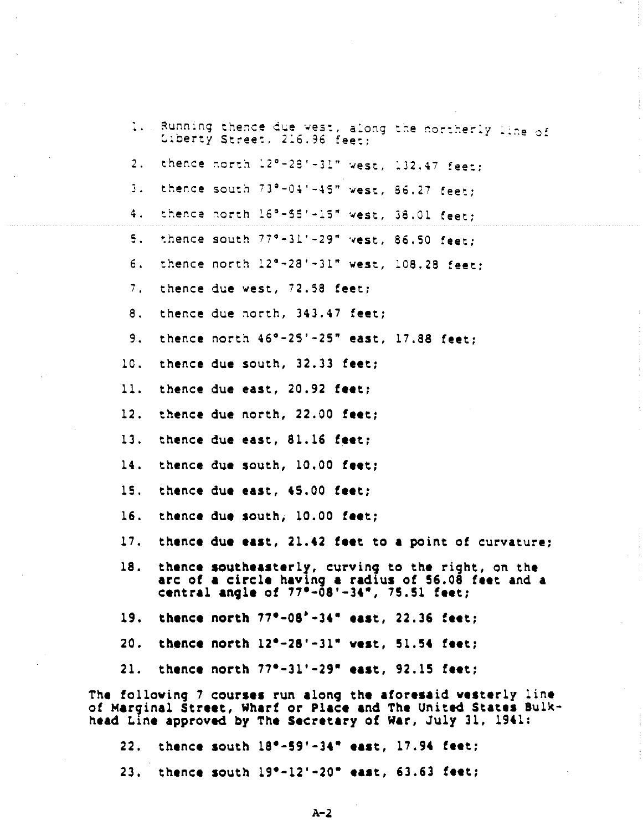|     |  | Liberty Street, 216.96 feet:   | 1. Running thence due west, along the northerly line of                                                                                                                     |  |
|-----|--|--------------------------------|-----------------------------------------------------------------------------------------------------------------------------------------------------------------------------|--|
| 2.1 |  |                                | thence north 12°-28'-31" west, 132.47 feet;                                                                                                                                 |  |
| 3.  |  |                                | thence south 73°-04'-45" west, 86.27 feet;                                                                                                                                  |  |
| 4.1 |  |                                | thence north 16°-55'-15" west, 38.01 feet;                                                                                                                                  |  |
| 5.  |  |                                | thence south 77°-31'-29" west, 86.50 feet:                                                                                                                                  |  |
| б.  |  |                                | thence north 12°-28'-31" west, 108.28 feet;                                                                                                                                 |  |
| 7.  |  | thence due west, 72.58 feet;   |                                                                                                                                                                             |  |
| 8.  |  | thence due north, 343.47 feet; |                                                                                                                                                                             |  |
| 9.  |  |                                | thence north $46^{\circ} - 25' - 25''$ east, 17.88 feet;                                                                                                                    |  |
| 10. |  | thence due south, 32.33 feet;  |                                                                                                                                                                             |  |
| 11. |  | thence due east, 20.92 feet;   |                                                                                                                                                                             |  |
| 12. |  | thence due north, 22.00 feet;  |                                                                                                                                                                             |  |
| 13. |  | thence due east, 81.16 feet;   |                                                                                                                                                                             |  |
| 14. |  | thence due south, 10.00 feet;  |                                                                                                                                                                             |  |
| 15. |  | thence due east, 45.00 feet;   |                                                                                                                                                                             |  |
| 16. |  | thence due south, 10.00 feet;  |                                                                                                                                                                             |  |
| 17. |  |                                | thence due east, 21.42 feet to a point of curvature;                                                                                                                        |  |
| 18. |  |                                | thence southeasterly, curving to the right, on the<br>arc of a circle having a radius of 56.08 feet and a central angle of $77^{\circ}-08^{\circ}-34^{\circ}$ , 75.51 feet; |  |
|     |  |                                | 19. thence north 77°-08'-34" east, 22.36 feet;                                                                                                                              |  |
|     |  |                                | 20. thence north $12^{\circ} - 28^{\circ} - 31^{\circ}$ west, 51.54 feet;                                                                                                   |  |
|     |  |                                | 21. thence north $77^{\circ}-31'$ -29" east, 92.15 feet;                                                                                                                    |  |
|     |  |                                | The following 7 courses run along the aforesaid westerly line                                                                                                               |  |
|     |  |                                | of Marginal Street, Wharf or Place and The United States Bulk-<br>head Line approved by The Secretary of War, July 31, 1941:                                                |  |
|     |  |                                | 22. thence south 18°-59'-34" east, 17.94 feet;                                                                                                                              |  |
|     |  |                                | 23. thence south 19°-12'-20" east, 63.63 feet;                                                                                                                              |  |

 $\hat{\mathcal{L}}$ 

 $\bar{z}$ 

A-2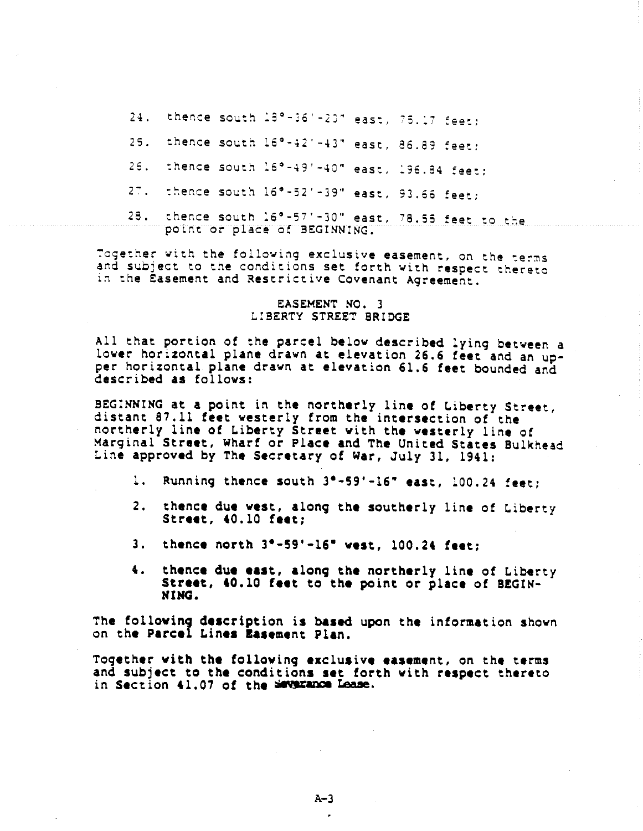24. thence south 18°-36'-20" east, 75.17 feet;

- thence south 16°-42'-43" east, 86.89 feet;  $25.$
- thence south  $16^{\circ}-49^{\prime}-40^{\circ}$  east,  $196.84$  feet;  $25.$
- :hence south 18~-52'-39" east, 93.66 feet;  $27.$
- thence south 16°-57'-30" east, 78.55 feet to the 28.

Together with the following exclusive easement, on the terms and suDject to the conditions set forth with respect thereto in the Easement and Restrictive Covenant Agreement.

### **EASEMENT NO. 3 L:BERTY STREET BRIDGE**

All that portion of the parcel below described lying between a lower horizontal plane drawn at elevation 26.6 feet and an upper horizontal plane drawn at elevation 61.6 feet bounded and described as follows:

BEGINNING at a point in the northerly line of Liberty Street, distant 87.Ii feet westerly from the intersection of the northerly line of Liberty Street **with the** westerly line of Marginal Street, Wharf or Place and **The United** States Bulkhead Line approved by The Secretary of War, July 31, 1941:

- 1. Running thence south 3°-59'-16" east, 100.24 feet;
- **2. thence due west, along the southerly line of Liberty Street, ~0.10 feet;**
- 3. thence north 3°-59'-16" west, 100.24 feet:
- 4. thence due east, along the northerly line of Liberty **Street, tO.lO feet to the point or place of BEGIN-**

The following description is based upon the information shown on the Parcel Lines **Easement Plan.** 

**Together with the £olloving exclusive easement, on the terms and subject to the conditions set forth vith respect thereto** in **Section 41.07 of the Severance Lease.**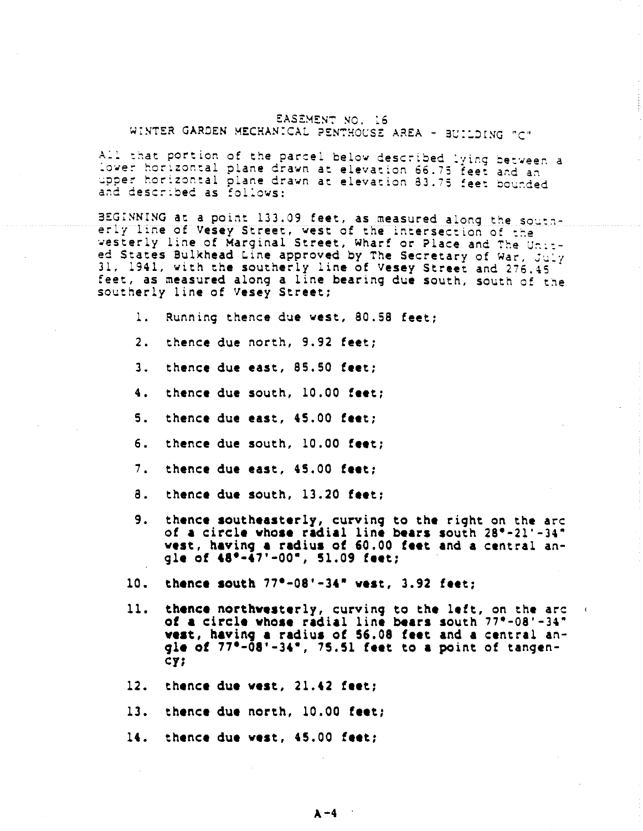## EASEMENT NO. 16 WINTER GARDEN MECHANICAL PENTHOUSE AREA - BUILDING "C"

All that portion of the parcel below described lying between a<br>lower horizontal plane drawn at elevation 66.75 feet and an upper horizontal plane drawn at elevation 83.75 feet bounded and described as follows:

BEGINNING at a point 133.09 feet, as measured along the southerly line of Vesey Street, west of the intersection of the The Vesterly line of Marginal Street, Wharf or Place and The United States Bulkhead Line approved by The Secretary of War, July 31, 1941, with the southerly line of Vesey Street and 276.45 feet, as measured along a line bearing due south, south of the southerly line of vesey Street;

**i. Running thence due west, 80.58 feet;**

- **2. thence due north, 9.92 feet;**
- **3. thence due east, 85.50 feet;**
- thence due south, 10.00 feet;  $4.1$
- $5.$ **thence due east, 45.00 feet;**
- 6. thence due south, 10.00 feet;
- **7. thence due east, 45.00 feet;**
- 8. thence due south, 13.20 feet;
- . thence southeasterly, curving to the right on the arc **of a circle vhoae radial line bears south ~eat, having a radius of ~0.00 feet and a central an- ~le o£ 48"-47'-00", SI.09 feet;**
- **10. thence ¯ouch 77°-08'-34" vest, 3.92 feet;**
- 11. **thence northveaterly, curving to the left, on the arc** of a circle whose radial line bears south  $77^{\circ}$ -08'-34" **yea=, having a radius of 55.08 feet and a central an**gle of 77°-08'-34", 75.51 feet to a point of tangen-CY;
- **thence due vest, 21.42 feet;**
- **13. thence due north, 10.00 feet;**
- **thence due vest, 46.00 feet;**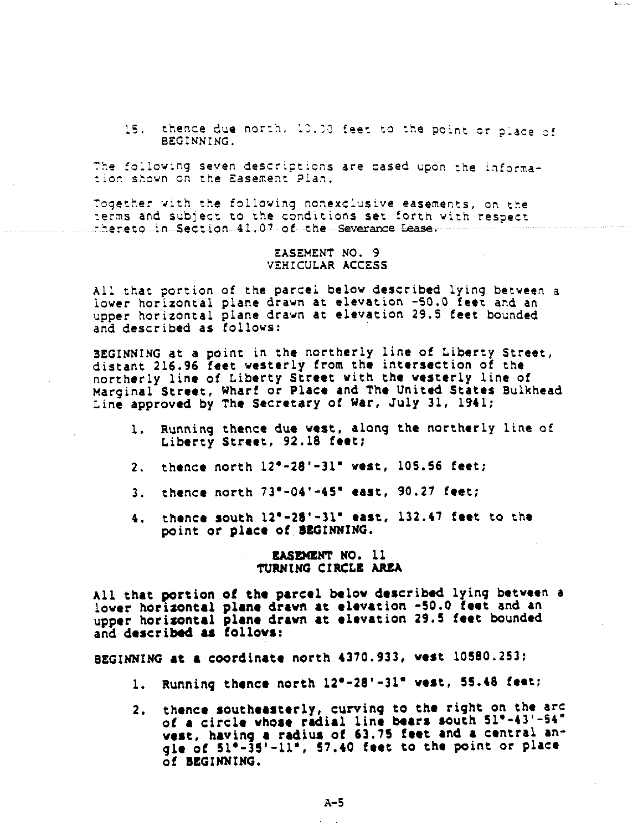15. thence due north, 10.00 feet to the point or place of BEGINNING.

The following seven descriptions are based upon the information shown on the Easement Plan.

Together with the following nonexclusive easements, on the terms and subject to the conditions set forth with respect

### EASEMENT NO. 9 VEHICULAR ACCESS

All that portion of the parcel below described lying between a lower horizontal plane drawn at elevation -50.0 feet and an upper horizontal plane drawn at elevation 29.5 feet bounded and described as follows:

BEGINNING at a point in the northerly line of Liberty Street, distant 216.96 feet westerly from the intersection of the northerly line of Liberty Street with the westerly line of Marginal Street, Wharf or Place and The United States Bulkhead Line approved by The Secretary of War, July 31, 1941;

- Running thence due west, along the northerly line of  $\mathbf{L}$ Liberty Street, 92.18 feet;
- 2. thence north 120-28'-31" west, 10S.56 feet;
- 3. thence north 73"-04'-45" east, 90.27 feet;
- 4. thence south  $12^{\circ}-28^{\circ}-31^{\circ}$  east,  $132.47$  feet to the point or place of BEGINNING.

## **EASEMENT NO. 11** TURNING CIRCLE AREA

All that portion of the parcel below described lying between a lower horizontal plane drawn at elevation -50.0 feet and an upper horizontal plane drawn at elevation 29.5 feet bounded and described as follows:

BEGINNING at a coordinate north 4370.933, west 10580.253;

- **thence north 12"-28'-31" vest, 5S.t8 feet;**
- thence southeasterly, curvinq to the right on the arc of a circle whose radial line bears south 5 vest, having a radius of 63.75 feet and a central an $q$ die of  $51^\circ$ - $35'$ - $11^\circ$ ,  $57.40$  feet to the point or place **o~ BEGINNING.**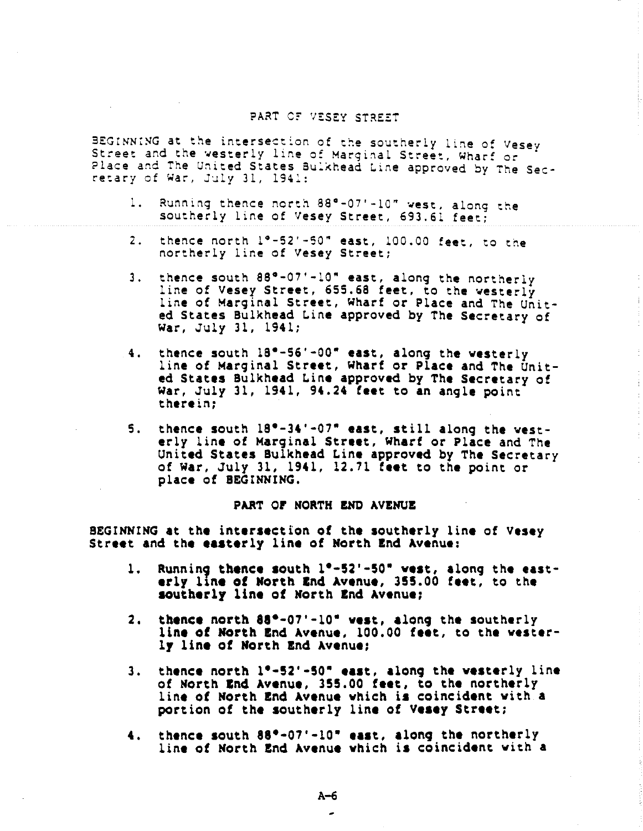# PART OF VESEY STREET

BEGINNING at the intersection of the southerly line of Vesey Street and the westerly line of Marginal Street, Wharf or 14 retary of War, July 31, 1941:

- Running thence north 88°-07'-10" west, along the southerly line of Vesey Street, 693.61 feet;  $1 -$
- 2. thence north i~-52'-50" east, I00.00 feet, to the northerly line of Vesey Street;
- thence south  $88^{\circ}$ -07'-10" east, along the northerly  $3.$ line of Vesey Street, 655.68 feet, to the westerly line of Marginal Street, Wharf or Place and The United States Bulkhead Line approved by The Secretary of War, July 31, 1941;
- thence south 18"-56'-00" east, along the westerly  $4.1$ line of Marginal Street, Wharf or Place and The United States Bulkhead Line approved by The Secretary of war, July 31, 1941, 94.24 feet to an angle point therein;

Ť

5. thence south 18°-34'-07" east, still along the westeriy line of Marginal Street, Wharf or Place and The United States Bulkhead Line approved by The Secretary of War, July 31, 1941,  $12.71$  feet to the point or place of BEGINNING.

### **PART OF NORTH END AVENUE**

BEGINNING at the intersection of the southerly line of Vesey Street and the easterly line of North End Avenue:

- 1. Running thence south 1°-52'-50" west, along the east**erly line of North End Avenue, 355.00 feet, to the ~utherly line of North ~nd Avenue;**
- 2. thence north 88\*-07'-10" vest, along the southerly line of North End Avenue, 100.00 feet, to the westerly line of North End Avenue;
- **thence north I\*-S2'-S0" east, along the westerly line** 3. of North End Avenue, 355.00 feet, to the northerly line of North End Avenue which is coincident with a portion of the southerly line of Vesey Street;
- **4. thence south 88e-07'-!0" east, along the northerly** line of North End Avenue which is coincident with a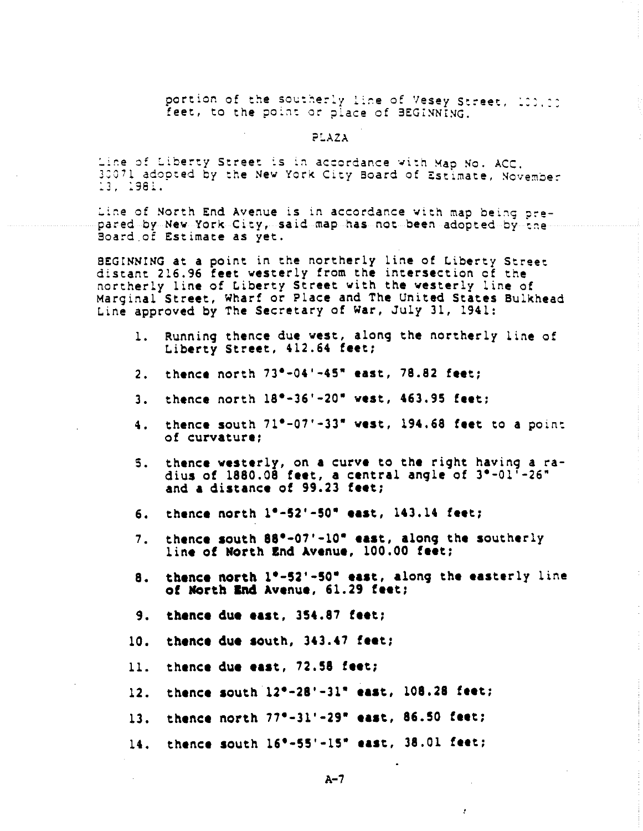portion of the southerly line of Vesey Street, 100,00 feet, to the point or place of BEGINNING.

### PLAZA

Line of Liberty Street is in accordance with Map No. ACC.<br>30071 adopted by the New York City Board of Estimate, November 13, 1981.

Line of North End Avenue is in accordance with map being prepared by New York City, said map has not been adopted by the Board of Estimate as yet.

BEGINNING at a point in the northerly line of Liberty Street distant 216.96 feet westerly from the intersection of the northerly line of Liberty Street with the westerly line of Marginal Street, Wharf or Place and The United States Bulkhead Line approved by The Secretary of war, July 31, 1941:

- 1. Running thence due west, along the northerly line of Liberty Street, 412.64 feet;
- 2. thence north 73°-04'-45" east, 78.82 feet;
- **3. thence north 18"-36'-20" vest, 463.95 feet;**
- thence south 71"-07'-33" vest, 194.68 feet to a point 4. of curvature;
- thence westemly, on a curve to the right having a ra-S. dius Of 1880.08 feet, a central angle Of 3e-01'-26" and a distance of 99.23 feet;
- 6. **thence north 1°-52'-50" east, 143.14 feet;**
- thence south  $88^\circ$ -07'-10" east, along the southerly 7. line of North End Avenue, 100.00 feet;
- 8. thence north 1°-52'-50" east, along the easterly line of North End Avenue, 61.29 feet;
- **9. ~hence due east, 354.87 ~eet;**
- 10. **thence due south, 343.47 feet;**
- 11. thence due east, 72.58 feet;
- **].2**  $time = 20$  **thence** south 12°-28'-31" east, 108.28 feet;
- **13 thence north**  $77^{\circ}-31'$ **-29° east, 86.50 feet;**
- 14. thence south 16°-55'-15" east, 38.01 feet;

 $A-7$ 

 $\bullet$